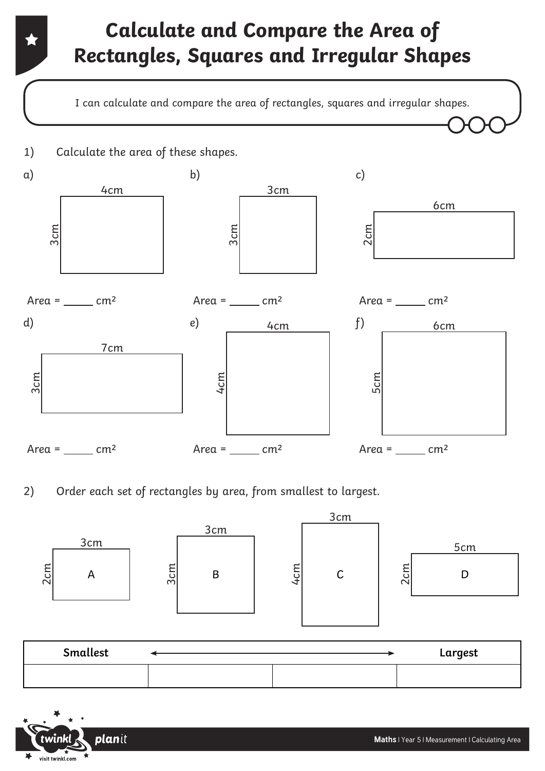# **Calculate and Compare the Area of Rectangles, Squares and Irregular Shapes**

I can calculate and compare the area of rectangles, squares and irregular shapes.



2) Order each set of rectangles by area, from smallest to largest.



| Smallest |  | Largest |
|----------|--|---------|
|          |  |         |

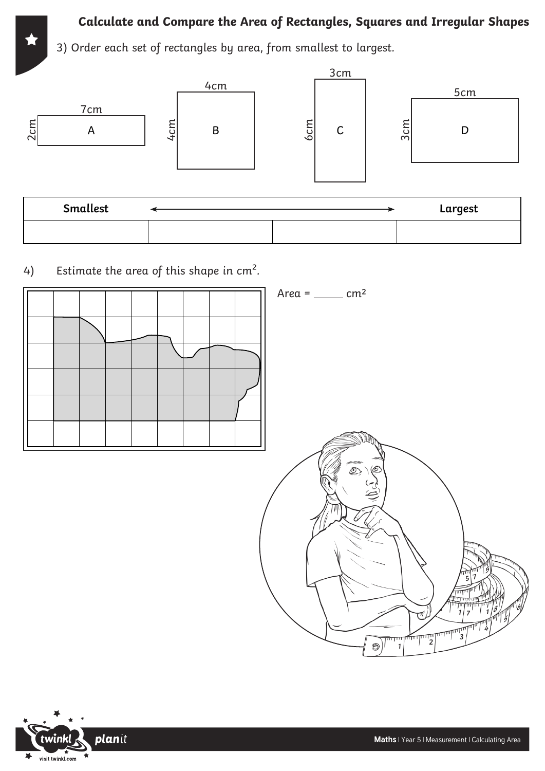#### **Calculate and Compare the Area of Rectangles, Squares and Irregular Shapes**

 3) Order each set of rectangles by area, from smallest to largest.



4) Estimate the area of this shape in  $cm<sup>2</sup>$ .



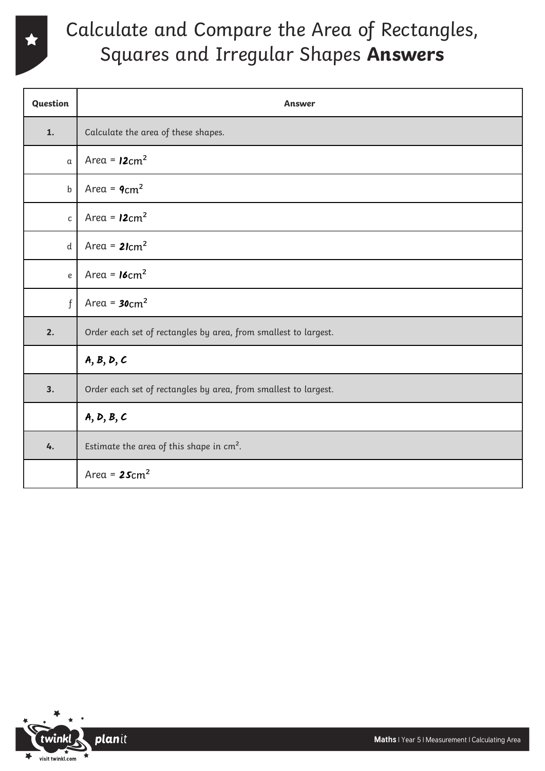

### Calculate and Compare the Area of Rectangles, Squares and Irregular Shapes **Answers**

| Question     | <b>Answer</b>                                                   |  |
|--------------|-----------------------------------------------------------------|--|
| 1.           | Calculate the area of these shapes.                             |  |
| $\alpha$     | Area = $12 \text{cm}^2$                                         |  |
| $\mathsf b$  | Area = $9cm2$                                                   |  |
| $\mathsf{C}$ | Area = $12cm2$                                                  |  |
| $\mathsf{d}$ | Area = $2\text{1cm}^2$                                          |  |
| $\it e$      | Area = $16 \text{cm}^2$                                         |  |
| $\mathbf{f}$ | Area = $30cm2$                                                  |  |
| 2.           | Order each set of rectangles by area, from smallest to largest. |  |
|              | A, B, D, C                                                      |  |
| 3.           | Order each set of rectangles by area, from smallest to largest. |  |
|              | A, D, B, C                                                      |  |
| 4.           | Estimate the area of this shape in cm <sup>2</sup> .            |  |
|              | Area = $25cm2$                                                  |  |

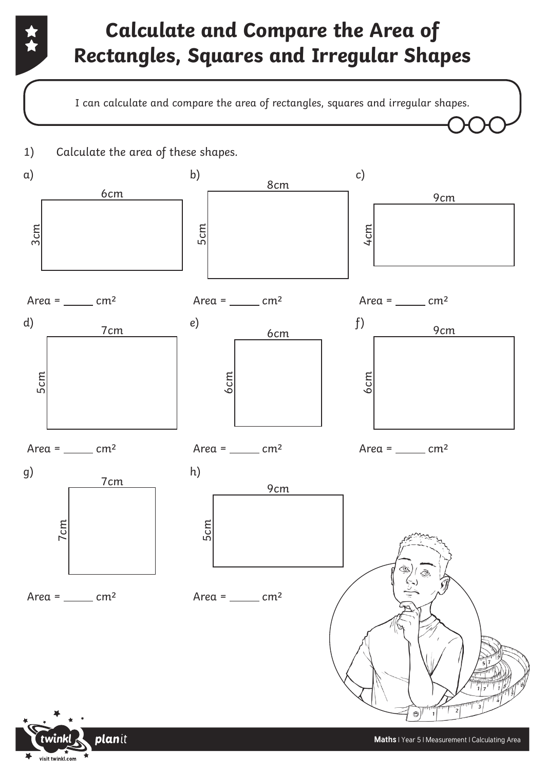# **Calculate and Compare the Area of Rectangles, Squares and Irregular Shapes**

I can calculate and compare the area of rectangles, squares and irregular shapes.





visit twinkl.com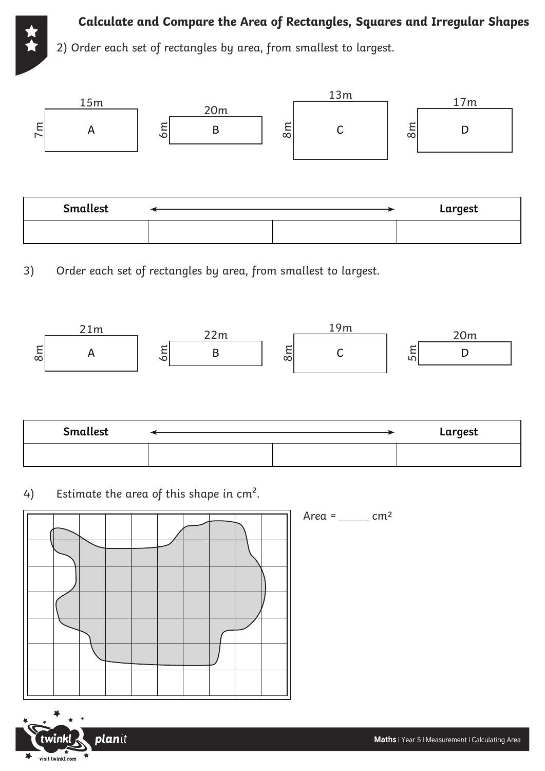



3) Order each set of rectangles by area, from smallest to largest.



| Smallest |  | Largest |
|----------|--|---------|
|          |  |         |

4) Estimate the area of this shape in  $cm<sup>2</sup>$ .







 $Area =$   $cm<sup>2</sup>$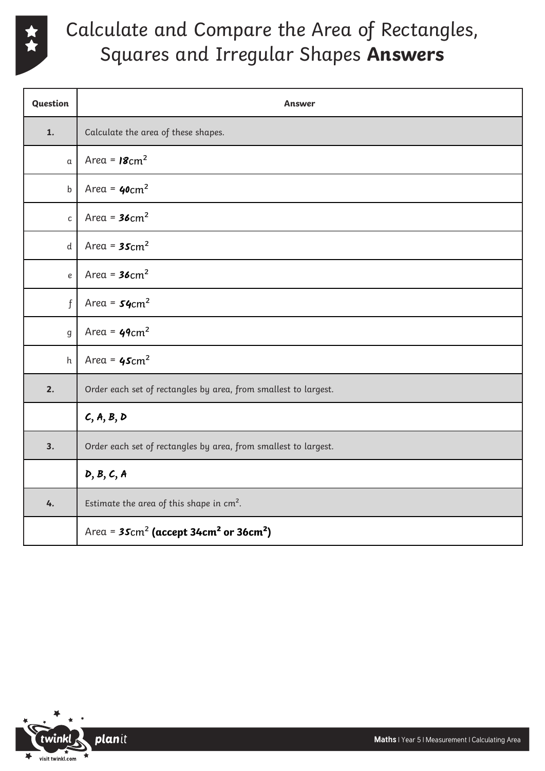

## Calculate and Compare the Area of Rectangles, Squares and Irregular Shapes **Answers**

| Question     | Answer                                                           |  |
|--------------|------------------------------------------------------------------|--|
| 1.           | Calculate the area of these shapes.                              |  |
| α            | Area = $18 \text{cm}^2$                                          |  |
| $\mathsf b$  | Area = $40cm2$                                                   |  |
| $\mathsf{C}$ | Area = $36 \text{cm}^2$                                          |  |
| d            | Area = $35 \text{cm}^2$                                          |  |
| e            | Area = $36 \text{cm}^2$                                          |  |
| $\mathbf{f}$ | Area = $54$ cm <sup>2</sup>                                      |  |
| $\mathsf g$  | Area = $49cm2$                                                   |  |
| h            | Area = $45cm2$                                                   |  |
| 2.           | Order each set of rectangles by area, from smallest to largest.  |  |
|              | C, A, B, D                                                       |  |
| 3.           | Order each set of rectangles by area, from smallest to largest.  |  |
|              | D, B, C, A                                                       |  |
| 4.           | Estimate the area of this shape in $cm2$ .                       |  |
|              | Area = $35cm^2$ (accept 34cm <sup>2</sup> or 36cm <sup>2</sup> ) |  |

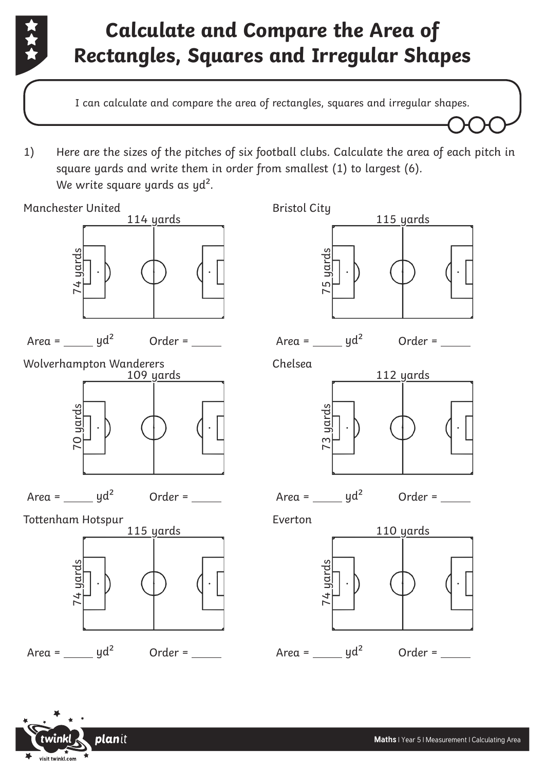

# **Calculate and Compare the Area of Rectangles, Squares and Irregular Shapes**

I can calculate and compare the area of rectangles, squares and irregular shapes.

1) Here are the sizes of the pitches of six football clubs. Calculate the area of each pitch in square yards and write them in order from smallest (1) to largest (6). We write square yards as yd<sup>2</sup>.



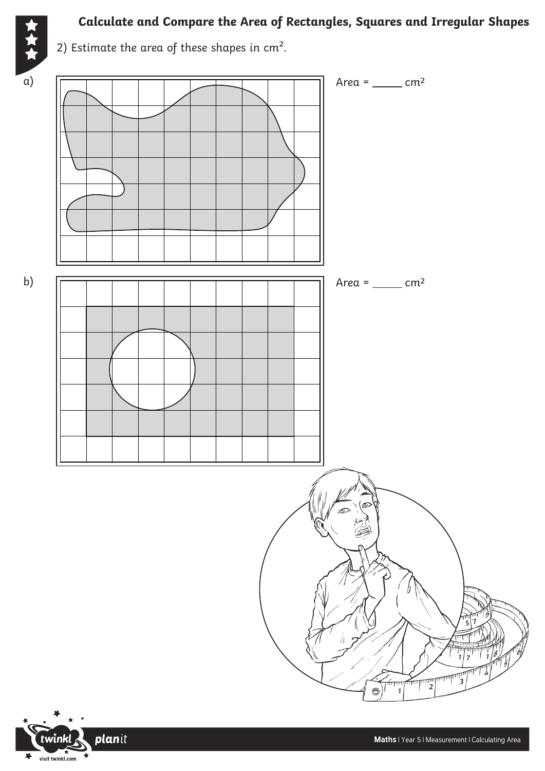

#### **Calculate and Compare the Area of Rectangles, Squares and Irregular Shapes**

2) Estimate the area of these shapes in cm<sup>2</sup>.